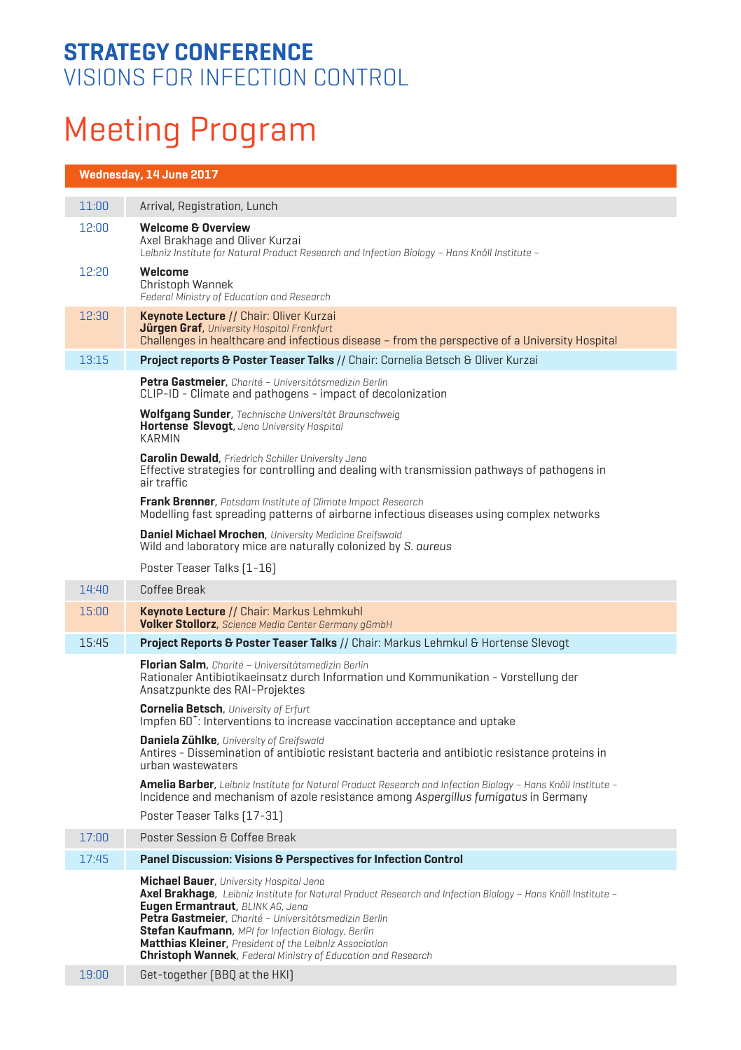### **STRATEGY CONFERENCE** VISIONS FOR INFECTION CONTROL

# Meeting Program

#### **Wednesday, 14 June 2017**

| 11:00 | Arrival, Registration, Lunch                                                                                                                                                                                                                                                                                                                                                                                                                 |
|-------|----------------------------------------------------------------------------------------------------------------------------------------------------------------------------------------------------------------------------------------------------------------------------------------------------------------------------------------------------------------------------------------------------------------------------------------------|
| 12:00 | <b>Welcome &amp; Overview</b><br>Axel Brakhage and Oliver Kurzai<br>Leibniz Institute for Natural Product Research and Infection Biology - Hans Knöll Institute -                                                                                                                                                                                                                                                                            |
| 12:20 | Welcome<br>Christoph Wannek<br>Federal Ministry of Education and Research                                                                                                                                                                                                                                                                                                                                                                    |
| 12:30 | Keynote Lecture // Chair: Oliver Kurzai<br>Jürgen Graf, University Hospital Frankfurt<br>Challenges in healthcare and infectious disease - from the perspective of a University Hospital                                                                                                                                                                                                                                                     |
| 13:15 | Project reports & Poster Teaser Talks // Chair: Cornelia Betsch & Oliver Kurzai                                                                                                                                                                                                                                                                                                                                                              |
|       | Petra Gastmeier, Charité - Universitätsmedizin Berlin<br>CLIP-ID - Climate and pathogens - impact of decolonization                                                                                                                                                                                                                                                                                                                          |
|       | Wolfgang Sunder, Technische Universität Braunschweig<br>Hortense Slevogt, Jena University Hospital<br><b>KARMIN</b>                                                                                                                                                                                                                                                                                                                          |
|       | <b>Carolin Dewald</b> , Friedrich Schiller University Jena<br>Effective strategies for controlling and dealing with transmission pathways of pathogens in<br>air traffic                                                                                                                                                                                                                                                                     |
|       | Frank Brenner, Potsdam Institute of Climate Impact Research<br>Modelling fast spreading patterns of airborne infectious diseases using complex networks                                                                                                                                                                                                                                                                                      |
|       | Daniel Michael Mrochen, University Medicine Greifswald<br>Wild and laboratory mice are naturally colonized by S. aureus                                                                                                                                                                                                                                                                                                                      |
|       | Poster Teaser Talks [1-16]                                                                                                                                                                                                                                                                                                                                                                                                                   |
| 14:40 | Coffee Break                                                                                                                                                                                                                                                                                                                                                                                                                                 |
| 15:00 | Keynote Lecture // Chair: Markus Lehmkuhl<br><b>Volker Stollorz</b> , Science Media Center Germany qGmbH                                                                                                                                                                                                                                                                                                                                     |
| 15:45 | Project Reports & Poster Teaser Talks // Chair: Markus Lehmkul & Hortense Slevogt                                                                                                                                                                                                                                                                                                                                                            |
|       | Florian Salm, Charité - Universitätsmedizin Berlin<br>Rationaler Antibiotikaeinsatz durch Information und Kommunikation - Vorstellung der<br>Ansatzpunkte des RAI-Projektes                                                                                                                                                                                                                                                                  |
|       | <b>Cornelia Betsch</b> , University of Erfurt<br>Impfen 60 <sup>+</sup> : Interventions to increase vaccination acceptance and uptake                                                                                                                                                                                                                                                                                                        |
|       | <b>Daniela Zühlke</b> , University of Greifswald<br>Antires - Dissemination of antibiotic resistant bacteria and antibiotic resistance proteins in<br>urban wastewaters                                                                                                                                                                                                                                                                      |
|       | <b>Amelia Barber,</b> Leibniz Institute for Natural Product Research and Infection Biology - Hans Knöll Institute -<br>Incidence and mechanism of azole resistance among Aspergillus fumigatus in Germany                                                                                                                                                                                                                                    |
|       | Poster Teaser Talks [17-31]                                                                                                                                                                                                                                                                                                                                                                                                                  |
| 17:00 | Poster Session & Coffee Break                                                                                                                                                                                                                                                                                                                                                                                                                |
| 17:45 | Panel Discussion: Visions & Perspectives for Infection Control                                                                                                                                                                                                                                                                                                                                                                               |
|       | Michael Bauer, University Hospital Jena<br>Axel Brakhage, Leibniz Institute for Natural Product Research and Infection Biology - Hans Knöll Institute -<br>Eugen Ermantraut, BLINK AG, Jena<br>Petra Gastmeier, Charité - Universitätsmedizin Berlin<br>Stefan Kaufmann, MPI for Infection Biology, Berlin<br>Matthias Kleiner, President of the Leibniz Association<br><b>Christoph Wannek</b> , Federal Ministry of Education and Research |
| 19:00 | Get-together (BBQ at the HKI)                                                                                                                                                                                                                                                                                                                                                                                                                |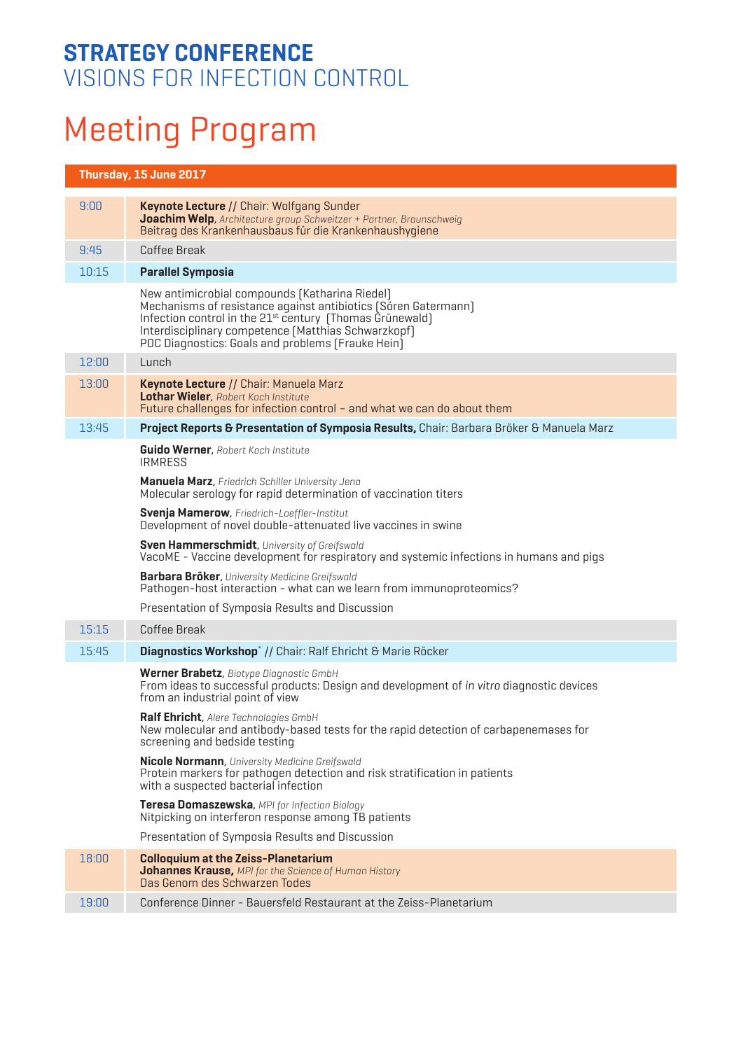### **STRATEGY CONFERENCE** VISIONS FOR INFECTION CONTROL

## Meeting Program

#### **Thursday, 15 June 2017**

| 9:00  | <b>Keynote Lecture // Chair: Wolfgang Sunder</b><br>Joachim Welp, Architecture group Schweitzer + Partner, Braunschweig<br>Beitrag des Krankenhausbaus für die Krankenhaushygiene                                                                                                                    |
|-------|------------------------------------------------------------------------------------------------------------------------------------------------------------------------------------------------------------------------------------------------------------------------------------------------------|
| 9:45  | Coffee Break                                                                                                                                                                                                                                                                                         |
| 10:15 | <b>Parallel Symposia</b>                                                                                                                                                                                                                                                                             |
|       | New antimicrobial compounds (Katharina Riedel)<br>Mechanisms of resistance against antibiotics (Sören Gatermann)<br>Infection control in the 21 <sup>st</sup> century (Thomas Grünewald)<br>Interdisciplinary competence [Matthias Schwarzkopf]<br>POC Diagnostics: Goals and problems (Frauke Hein) |
| 12:00 | Lunch                                                                                                                                                                                                                                                                                                |
| 13:00 | Keynote Lecture // Chair: Manuela Marz<br>Lothar Wieler, Robert Koch Institute<br>Future challenges for infection control - and what we can do about them                                                                                                                                            |
| 13.45 | Project Reports & Presentation of Symposia Results, Chair: Barbara Bröker & Manuela Marz                                                                                                                                                                                                             |
|       | <b>Guido Werner, Robert Koch Institute</b><br><b>IRMRESS</b>                                                                                                                                                                                                                                         |
|       | Manuela Marz, Friedrich Schiller University Jena<br>Molecular serology for rapid determination of vaccination titers                                                                                                                                                                                 |
|       | <b>Svenja Mamerow</b> , Friedrich-Loeffler-Institut<br>Development of novel double-attenuated live vaccines in swine                                                                                                                                                                                 |
|       | Sven Hammerschmidt, University of Greifswald<br>VacoME - Vaccine development for respiratory and systemic infections in humans and pigs                                                                                                                                                              |
|       | <b>Barbara Bröker</b> , University Medicine Greifswald<br>Pathogen-host interaction - what can we learn from immunoproteomics?                                                                                                                                                                       |
|       | Presentation of Symposia Results and Discussion                                                                                                                                                                                                                                                      |
| 15:15 | Coffee Break                                                                                                                                                                                                                                                                                         |
| 15:45 | Diagnostics Workshop* // Chair: Ralf Ehricht & Marie Röcker                                                                                                                                                                                                                                          |
|       | Werner Brabetz, Biotype Diagnostic GmbH<br>From ideas to successful products: Design and development of in vitro diagnostic devices<br>from an industrial point of view                                                                                                                              |
|       | Ralf Ehricht, Alere Technologies GmbH<br>New molecular and antibody-based tests for the rapid detection of carbapenemases for<br>screening and bedside testing                                                                                                                                       |
|       | <b>Nicole Normann</b> , University Medicine Greifswald<br>Protein markers for pathogen detection and risk stratification in patients<br>with a suspected bacterial infection                                                                                                                         |
|       | Teresa Domaszewska, MPI for Infection Biology<br>Nitpicking on interferon response among TB patients                                                                                                                                                                                                 |
|       | Presentation of Symposia Results and Discussion                                                                                                                                                                                                                                                      |
| 18:00 | <b>Colloquium at the Zeiss-Planetarium</b><br>Johannes Krause, MPI for the Science of Human History<br>Das Genom des Schwarzen Todes                                                                                                                                                                 |
| 19:00 | Conference Dinner - Bauersfeld Restaurant at the Zeiss-Planetarium                                                                                                                                                                                                                                   |